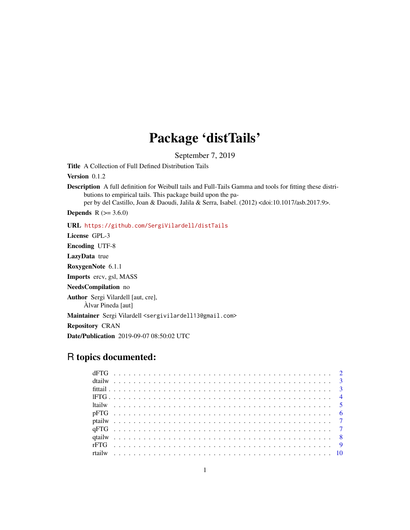# Package 'distTails'

September 7, 2019

Title A Collection of Full Defined Distribution Tails

Version 0.1.2

Description A full definition for Weibull tails and Full-Tails Gamma and tools for fitting these distributions to empirical tails. This package build upon the pa-

per by del Castillo, Joan & Daoudi, Jalila & Serra, Isabel. (2012) <doi:10.1017/asb.2017.9>.

**Depends** R  $(>= 3.6.0)$ 

URL <https://github.com/SergiVilardell/distTails>

License GPL-3

Encoding UTF-8

LazyData true

RoxygenNote 6.1.1

Imports ercv, gsl, MASS

NeedsCompilation no

Author Sergi Vilardell [aut, cre],

Àlvar Pineda [aut]

Maintainer Sergi Vilardell <sergivilardell13@gmail.com>

Repository CRAN

Date/Publication 2019-09-07 08:50:02 UTC

# R topics documented: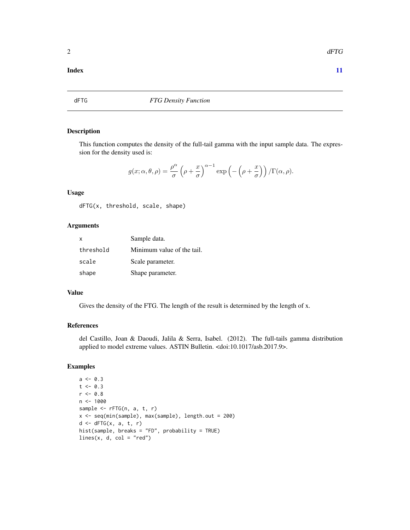#### <span id="page-1-0"></span>**Index** [11](#page-10-0)

# Description

This function computes the density of the full-tail gamma with the input sample data. The expression for the density used is:

$$
g(x; \alpha, \theta, \rho) = \frac{\rho^{\alpha}}{\sigma} \left( \rho + \frac{x}{\sigma} \right)^{\alpha - 1} \exp \left( - \left( \rho + \frac{x}{\sigma} \right) \right) / \Gamma(\alpha, \rho).
$$

#### Usage

dFTG(x, threshold, scale, shape)

#### Arguments

| x         | Sample data.               |
|-----------|----------------------------|
| threshold | Minimum value of the tail. |
| scale     | Scale parameter.           |
| shape     | Shape parameter.           |

#### Value

Gives the density of the FTG. The length of the result is determined by the length of x.

# References

del Castillo, Joan & Daoudi, Jalila & Serra, Isabel. (2012). The full-tails gamma distribution applied to model extreme values. ASTIN Bulletin. <doi:10.1017/asb.2017.9>.

#### Examples

```
a \leftarrow 0.3t < -0.3r < -0.8n < -1000sample <- rFTG(n, a, t, r)
x <- seq(min(sample), max(sample), length.out = 200)
d \leftarrow dfTG(x, a, t, r)hist(sample, breaks = "FD", probability = TRUE)
lines(x, d, col = "red")
```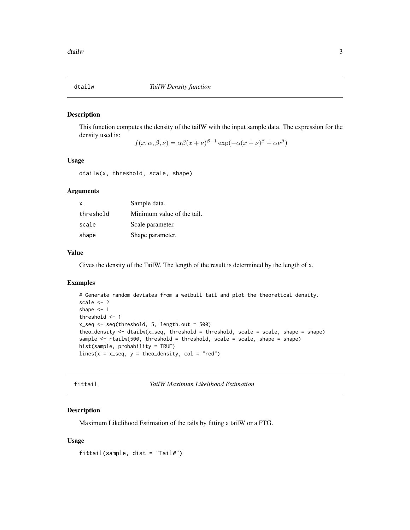<span id="page-2-0"></span>

This function computes the density of the tailW with the input sample data. The expression for the density used is:

 $f(x, \alpha, \beta, \nu) = \alpha \beta (x + \nu)^{\beta - 1} \exp(-\alpha (x + \nu)^{\beta} + \alpha \nu^{\beta})$ 

#### Usage

dtailw(x, threshold, scale, shape)

# Arguments

| X         | Sample data.               |
|-----------|----------------------------|
| threshold | Minimum value of the tail. |
| scale     | Scale parameter.           |
| shape     | Shape parameter.           |

#### Value

Gives the density of the TailW. The length of the result is determined by the length of x.

# Examples

```
# Generate random deviates from a weibull tail and plot the theoretical density.
scale <- 2
shape <-1threshold <- 1
x_seq <- seq(threshold, 5, length.out = 500)
theo_density \leq dtailw(x_seq, threshold = threshold, scale = scale, shape = shape)
sample <- rtailw(500, threshold = threshold, scale = scale, shape = shape)
hist(sample, probability = TRUE)
lines(x = x\_seq, y = theo\_density, col = "red")
```
fittail *TailW Maximum Likelihood Estimation*

#### Description

Maximum Likelihood Estimation of the tails by fitting a tailW or a FTG.

#### Usage

fittail(sample, dist = "TailW")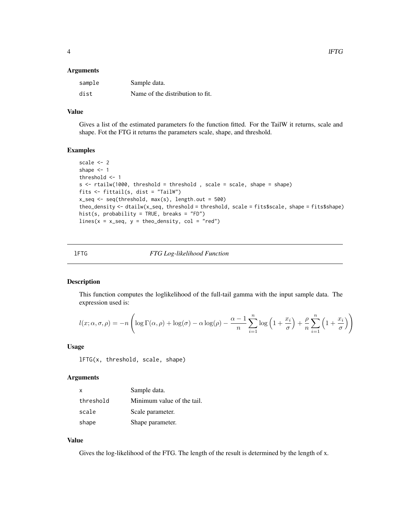#### <span id="page-3-0"></span>**Arguments**

| sample | Sample data.                     |
|--------|----------------------------------|
| dist   | Name of the distribution to fit. |

#### Value

Gives a list of the estimated parameters fo the function fitted. For the TailW it returns, scale and shape. Fot the FTG it returns the parameters scale, shape, and threshold.

#### Examples

```
scale <- 2
shape <-1threshold <- 1
s <- rtailw(1000, threshold = threshold , scale = scale, shape = shape)
fits <- fittail(s, dist = "TailW")
x_s = \text{seq}(-\text{threshold}, \text{max}(s), \text{length.out} = 500)theo_density <- dtailw(x_seq, threshold = threshold, scale = fits$scale, shape = fits$shape)
hist(s, probability = TRUE, breaks = "FD")
lines(x = x\_seq, y = theo\_density, col = "red")
```
# lFTG *FTG Log-likelihood Function*

#### Description

This function computes the loglikelihood of the full-tail gamma with the input sample data. The expression used is:

$$
l(x; \alpha, \sigma, \rho) = -n \left( \log \Gamma(\alpha, \rho) + \log(\sigma) - \alpha \log(\rho) - \frac{\alpha - 1}{n} \sum_{i=1}^{n} \log \left( 1 + \frac{x_i}{\sigma} \right) + \frac{\rho}{n} \sum_{i=1}^{n} \left( 1 + \frac{x_i}{\sigma} \right) \right)
$$

#### Usage

lFTG(x, threshold, scale, shape)

#### **Arguments**

| x         | Sample data.               |
|-----------|----------------------------|
| threshold | Minimum value of the tail. |
| scale     | Scale parameter.           |
| shape     | Shape parameter.           |

# Value

Gives the log-likelihood of the FTG. The length of the result is determined by the length of x.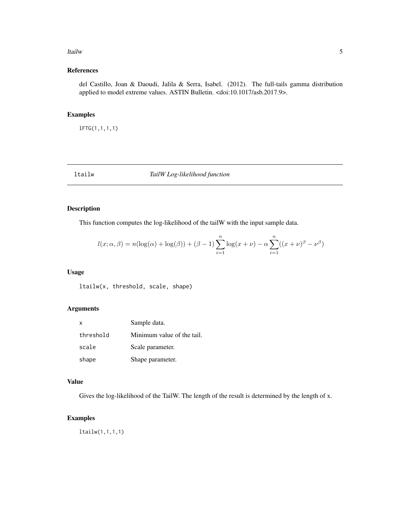#### <span id="page-4-0"></span>ltailw 5

# References

del Castillo, Joan & Daoudi, Jalila & Serra, Isabel. (2012). The full-tails gamma distribution applied to model extreme values. ASTIN Bulletin. <doi:10.1017/asb.2017.9>.

# Examples

lFTG(1,1,1,1)

ltailw *TailW Log-likelihood function*

# Description

This function computes the log-likelihood of the tailW with the input sample data.

$$
l(x; \alpha, \beta) = n(\log(\alpha) + \log(\beta)) + (\beta - 1) \sum_{i=1}^{n} \log(x + \nu) - \alpha \sum_{i=1}^{n} ((x + \nu)^{\beta} - \nu^{\beta})
$$

# Usage

ltailw(x, threshold, scale, shape)

# Arguments

| $\mathsf{x}$ | Sample data.               |
|--------------|----------------------------|
| threshold    | Minimum value of the tail. |
| scale        | Scale parameter.           |
| shape        | Shape parameter.           |

#### Value

Gives the log-likelihood of the TailW. The length of the result is determined by the length of x.

#### Examples

ltailw(1,1,1,1)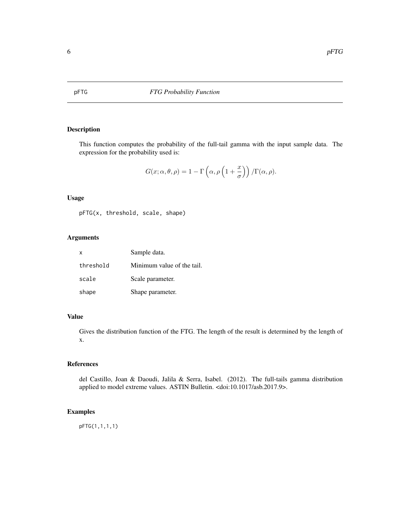<span id="page-5-0"></span>

This function computes the probability of the full-tail gamma with the input sample data. The expression for the probability used is:

$$
G(x; \alpha, \theta, \rho) = 1 - \Gamma\left(\alpha, \rho\left(1 + \frac{x}{\sigma}\right)\right) / \Gamma(\alpha, \rho).
$$

# Usage

pFTG(x, threshold, scale, shape)

# Arguments

| $\times$  | Sample data.               |
|-----------|----------------------------|
| threshold | Minimum value of the tail. |
| scale     | Scale parameter.           |
| shape     | Shape parameter.           |

# Value

Gives the distribution function of the FTG. The length of the result is determined by the length of x.

# References

del Castillo, Joan & Daoudi, Jalila & Serra, Isabel. (2012). The full-tails gamma distribution applied to model extreme values. ASTIN Bulletin. <doi:10.1017/asb.2017.9>.

# Examples

pFTG(1,1,1,1)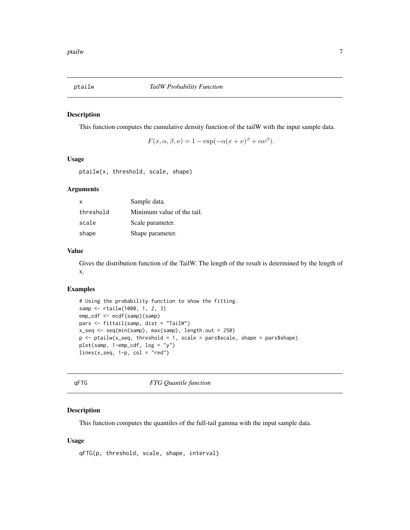<span id="page-6-0"></span>

This function computes the cumulative density function of the tailW with the input sample data.

 $F(x, \alpha, \beta, \nu) = 1 - \exp(-\alpha(x + \nu)^{\beta} + \alpha \nu^{\beta}).$ 

#### Usage

ptailw(x, threshold, scale, shape)

#### Arguments

| X         | Sample data.               |
|-----------|----------------------------|
| threshold | Minimum value of the tail. |
| scale     | Scale parameter.           |
| shape     | Shape parameter.           |

#### Value

Gives the distribution function of the TailW. The length of the result is determined by the length of x.

#### Examples

```
# Using the probability function to show the fitting.
samp <- rtailw(1000, 1, 2, 3)
emp_cdf <- ecdf(samp)(samp)
pars <- fittail(samp, dist = "TailW")
x_seq <- seq(min(samp), max(samp), length.out = 250)
p <- ptailw(x_seq, threshold = 1, scale = pars$scale, shape = pars$shape)
plot(samp, 1-emp_cdf, log = "y")
lines(x\_seq, 1-p, col = "red")
```
qFTG *FTG Quantile function*

# Description

This function computes the quantiles of the full-tail gamma with the input sample data.

#### Usage

```
qFTG(p, threshold, scale, shape, interval)
```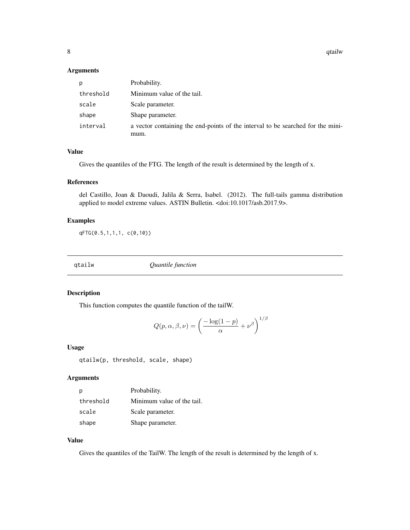#### <span id="page-7-0"></span>Arguments

| p         | Probability.                                                                    |
|-----------|---------------------------------------------------------------------------------|
| threshold | Minimum value of the tail.                                                      |
| scale     | Scale parameter.                                                                |
| shape     | Shape parameter.                                                                |
| interval  | a vector containing the end-points of the interval to be searched for the mini- |
|           | mum.                                                                            |

#### Value

Gives the quantiles of the FTG. The length of the result is determined by the length of x.

#### References

del Castillo, Joan & Daoudi, Jalila & Serra, Isabel. (2012). The full-tails gamma distribution applied to model extreme values. ASTIN Bulletin. <doi:10.1017/asb.2017.9>.

# Examples

qFTG(0.5,1,1,1, c(0,10))

qtailw *Quantile function*

# Description

This function computes the quantile function of the tailW.

$$
Q(p, \alpha, \beta, \nu) = \left(\frac{-\log(1-p)}{\alpha} + \nu^{\beta}\right)^{1/\beta}
$$

#### Usage

```
qtailw(p, threshold, scale, shape)
```
#### Arguments

| р         | Probability.               |
|-----------|----------------------------|
| threshold | Minimum value of the tail. |
| scale     | Scale parameter.           |
| shape     | Shape parameter.           |

# Value

Gives the quantiles of the TailW. The length of the result is determined by the length of x.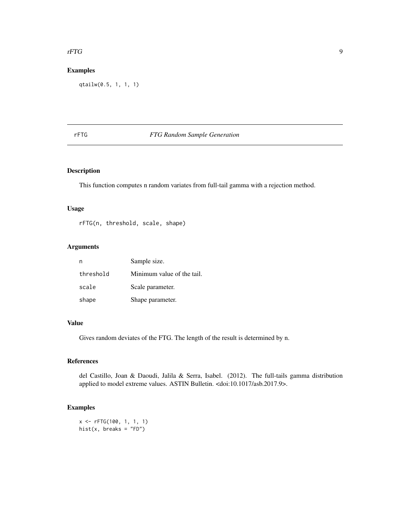#### <span id="page-8-0"></span>rFTG 9

# Examples

qtailw(0.5, 1, 1, 1)

# rFTG *FTG Random Sample Generation*

# Description

This function computes n random variates from full-tail gamma with a rejection method.

#### Usage

rFTG(n, threshold, scale, shape)

# Arguments

|           | Sample size.               |
|-----------|----------------------------|
| threshold | Minimum value of the tail. |
| scale     | Scale parameter.           |
| shape     | Shape parameter.           |

#### Value

Gives random deviates of the FTG. The length of the result is determined by n.

# References

del Castillo, Joan & Daoudi, Jalila & Serra, Isabel. (2012). The full-tails gamma distribution applied to model extreme values. ASTIN Bulletin. <doi:10.1017/asb.2017.9>.

# Examples

x <- rFTG(100, 1, 1, 1) hist(x, breaks =  $"FD"$ )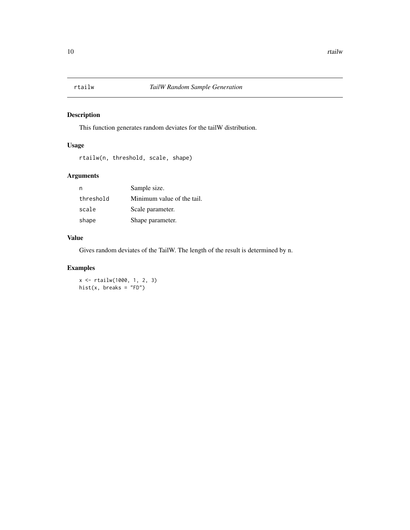<span id="page-9-0"></span>

This function generates random deviates for the tailW distribution.

# Usage

```
rtailw(n, threshold, scale, shape)
```
# Arguments

| n         | Sample size.               |
|-----------|----------------------------|
| threshold | Minimum value of the tail. |
| scale     | Scale parameter.           |
| shape     | Shape parameter.           |

# Value

Gives random deviates of the TailW. The length of the result is determined by n.

# Examples

x <- rtailw(1000, 1, 2, 3) hist(x, breaks =  $"FD")$